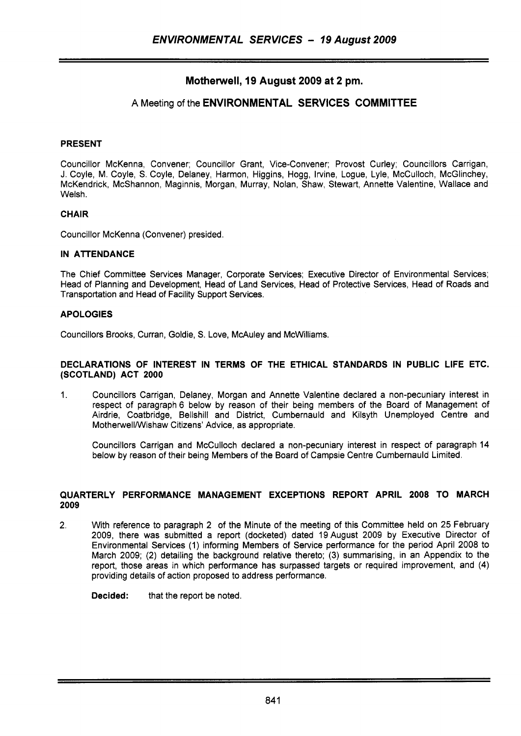# **Motherwell, 19 August 2009 at 2 pm.**

## **A** Meeting of the **ENVIRONMENTAL SERVICES COMMITTEE**

### **PRESENT**

Councillor McKenna, Convener; Councillor Grant, Vice-Convener; Provost Curley; Councillors Carrigan, J. Coyle, M. Coyle, *S.* Coyle, Delaney, Harmon, Higgins, Hogg, Irvine, Logue, Lyle, McCulloch, McGlinchey, McKendrick, McShannon, Maginnis, Morgan, Murray, Nolan, Shaw, Stewart, Annette Valentine, Wallace and Welsh.

### **CHAIR**

Councillor McKenna (Convener) presided.

### **IN ATTENDANCE**

The Chief Committee Services Manager, Corporate Services; Executive Director of Environmental Services; Head of Planning and Development, Head of Land Services, Head of Protective Services, Head of Roads and Transportation and Head of Facility Support Services.

### **APOLOGIES**

Councillors Brooks, Curran, Goldie, *S.* Love, McAuley and McWilliams.

#### **DECLARATIONS OF INTEREST IN TERMS OF THE ETHICAL STANDARDS IN PUBLIC LIFE ETC. (SCOTLAND) ACT 2000**

1. Councillors Carrigan, Delaney, Morgan and Annette Valentine declared a non-pecuniary interest in respect of paragraph 6 below by reason of their being members of the Board of Management of Airdrie, Coatbridge, Bellshill and District, Cumbernauld and Kilsyth Unemployed Centre and MotherwellNVishaw Citizens' Advice, as appropriate.

Councillors Carrigan and McCulloch declared a non-pecuniary interest in respect of paragraph 14 below by reason of their being Members of the Board of Campsie Centre Cumbernauld Limited.

### **QUARTERLY PERFORMANCE MANAGEMENT EXCEPTIONS REPORT APRIL 2008 TO MARCH 2009**

2. With reference to paragraph 2 of the Minute of the meeting of this Committee held on 25 February 2009, there was submitted a report (docketed) dated 19 August 2009 by Executive Director of Environmental Services (1) informing Members of Service performance for the period April 2008 to March 2009; (2) detailing the background relative thereto; (3) summarising, in an Appendix to the report, those areas in which performance has surpassed targets or required improvement, and **(4)**  providing details of action proposed to address performance.

**Decided:** that the report be noted.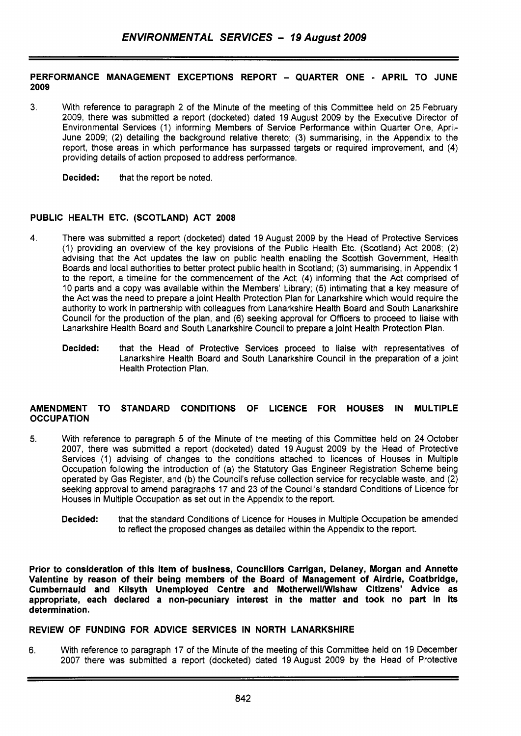### **PERFORMANCE MANAGEMENT EXCEPTIONS REPORT** - **QUARTER ONE** - **APRIL TO JUNE 2009**

3. With reference to paragraph 2 of the Minute of the meeting of this Committee held on 25 February 2009, there was submitted a report (docketed) dated 19 August 2009 by the Executive Director of Environmental Services (1) informing Members of Service Performance within Quarter One, April-June 2009; (2) detailing the background relative thereto; (3) summarising, in the Appendix to the report, those areas in which performance has surpassed targets or required improvement, and (4) providing details of action proposed to address performance.

**Decided:** that the report be noted.

## **PUBLIC HEALTH ETC. (SCOTLAND) ACT 2008**

- 4. There was submitted a report (docketed) dated 19 August 2009 by the Head of Protective Services (1) providing an overview of the key provisions of the Public Health Etc. (Scotland) Act 2008; (2) advising that the Act updates the law on public health enabling the Scottish Government, Health Boards and local authorities to better protect public health in Scotland; (3) summarising, in Appendix 1 to the report, a timeline for the commencement of the Act; (4) informing that the Act comprised of 10 parts and a copy was available within the Members' Library; (5) intimating that a key measure of the Act was the need to prepare a joint Health Protection Plan for Lanarkshire which would require the authority to work in partnership with colleagues from Lanarkshire Health Board and South Lanarkshire Council for the production of the plan, and **(6)** seeking approval for Officers to proceed to liaise with Lanarkshire Health Board and South Lanarkshire Council to prepare a joint Health Protection Plan.
	- **Decided:** that the Head of Protective Services proceed to liaise with representatives of Lanarkshire Health Board and South Lanarkshire Council in the preparation of a joint Health Protection Plan.

### **AMENDMENT TO STANDARD CONDITIONS OF LICENCE FOR HOUSES IN MULTIPLE OCCUPATION**

- **5.** With reference to paragraph 5 of the Minute of the meeting of this Committee held on 24 October 2007, there was submitted a report (docketed) dated 19August 2009 by the Head of Protective Services (1) advising of changes to the conditions attached to licences of Houses in Multiple Occupation following the introduction of (a) the Statutory Gas Engineer Registration Scheme being operated by Gas Register, and (b) the Council's refuse collection service for recyclable waste, and (2) seeking approval to amend paragraphs 17 and 23 of the Council's standard Conditions of Licence for Houses in Multiple Occupation as set out in the Appendix to the report.
	- **Decided:** that the standard Conditions of Licence for Houses in Multiple Occupation be amended to reflect the proposed changes as detailed within the Appendix to the report.

**Prior to consideration of this item of business, Councillors Carrigan, Delaney, Morgan and Annette Valentine by reason of their being members of the Board of Management of Airdrie, Coatbridge,**  Cumbernauld and Kilsyth Unemployed Centre and Motherwell/Wishaw Citizens' Advice as **appropriate, each declared a non-pecuniary interest in the matter and took no part in its determination.** 

### **REVIEW OF FUNDING FOR ADVICE SERVICES IN NORTH LANARKSHIRE**

**6.** With reference to paragraph 17 of the Minute of the meeting of this Committee held on 19 December 2007 there was submitted a report (docketed) dated 19 August 2009 by the Head of Protective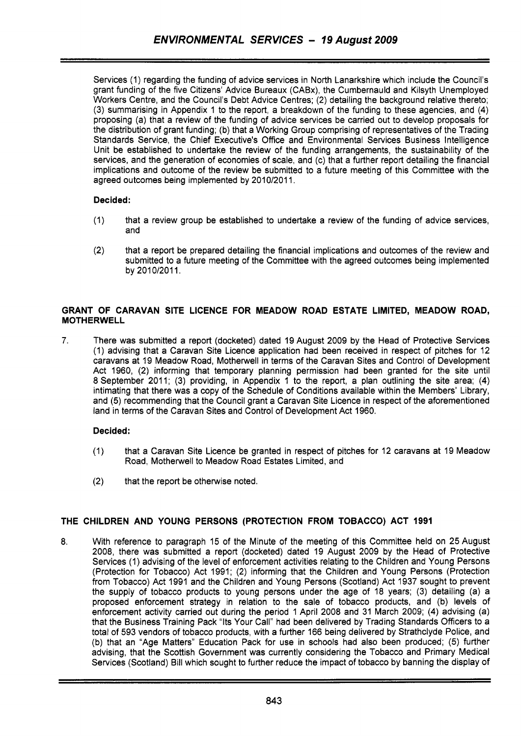Services (1) regarding the funding of advice services in North Lanarkshire which include the Council's grant funding of the five Citizens' Advice Bureaux (CABx), the Cumbernauld and Kilsyth Unemployed Workers Centre, and the Council's Debt Advice Centres; (2) detailing the background relative thereto; (3) summarising in Appendix 1 to the report, a breakdown of the funding to these agencies, and **(4)**  proposing (a) that a review of the funding of advice services be carried out to develop proposals for the distribution of grant funding; (b) that a Working Group comprising of representatives of the Trading Standards Service, the Chief Executive's Office and Environmental Services Business Intelligence Unit be established to undertake the review of the funding arrangements, the sustainability of the services, and the generation of economies of scale, and (c) that a further report detailing the financial implications and outcome of the review be submitted to a future meeting of this Committee with the agreed outcomes being implemented by 2010/2011.

## **Decided:**

- (1) that a review group be established to undertake a review of the funding of advice services, and
- (2) that a report be prepared detailing the financial implications and outcomes of the review and submitted to a future meeting of the Committee with the agreed outcomes being implemented by 2010/2011.

## **GRANT OF CARAVAN SITE LICENCE FOR MEADOW ROAD ESTATE LIMITED, MEADOW ROAD, MOTHERWELL**

7. There was submitted a report (docketed) dated 19 August 2009 by the Head of Protective Services (1) advising that a Caravan Site Licence application had been received in respect of pitches for 12 caravans at 19 Meadow Road, Motherwell in terms of the Caravan Sites and Control of Development Act 1960, (2) informing that temporary planning permission had been granted for the site until 8 September 2011; (3) providing, in Appendix 1 to the report, a plan outlining the site area; (4) intimating that there was a copy of the Schedule of Conditions available within the Members' Library, and (5) recommending that the Council grant a Caravan Site Licence in respect of the aforementioned land in terms of the Caravan Sites and Control of Development Act 1960.

## **Decided:**

- (1) that a Caravan Site Licence be granted in respect of pitches for 12 caravans at 19 Meadow Road, Motherwell to Meadow Road Estates Limited, and
- **(2)** that the report be otherwise noted.

## **THE CHILDREN AND YOUNG PERSONS (PROTECTION FROM TOBACCO) ACT 1991**

8. With reference to paragraph 15 of the Minute of the meeting of this Committee held on 25 August 2008, there was submitted a report (docketed) dated 19 August 2009 by the Head of Protective Services (1) advising of the level of enforcement activities relating to the Children and Young Persons (Protection for Tobacco) Act 1991; (2) informing that the Children and Young Persons (Protection from Tobacco) Act 1991 and the Children and Young Persons (Scotland) Act 1937 sought to prevent the supply of tobacco products to young persons under the age of 18 years; (3) detailing (a) a proposed enforcement strategy in relation to the sale of tobacco products, and (b) levels of enforcement activity carried out during the period 1 April 2008 and 31 March 2009; **(4)** advising (a) that the Business Training Pack "Its Your Call" had been delivered by Trading Standards Officers to a total of 593 vendors of tobacco products, with a further 166 being delivered by Strathclyde Police, and (b) that an "Age Matters" Education Pack for use in schools had also been produced; (5) further advising, that the Scottish Government was currently considering the Tobacco and Primary Medical Services (Scotland) Bill which sought to further reduce the impact of tobacco by banning the display of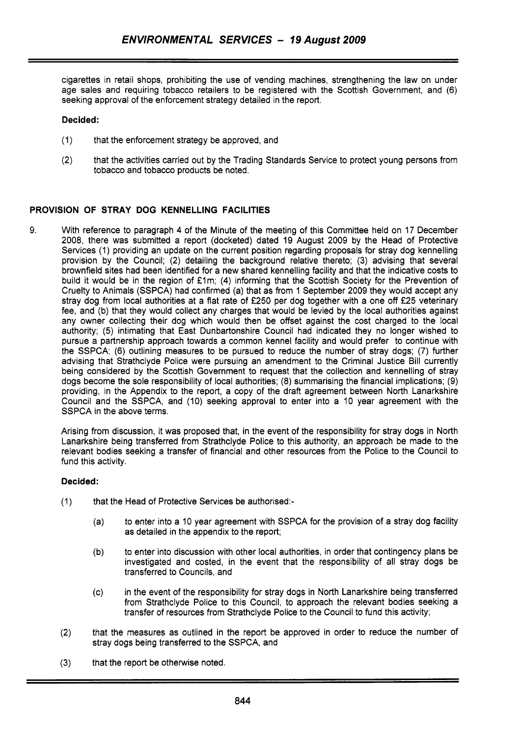cigarettes in retail shops, prohibiting the use of vending machines, strengthening the law on under age sales and requiring tobacco retailers to be registered with the Scottish Government, and (6) seeking approval of the enforcement strategy detailed in the report.

### **Decided:**

- (1) that the enforcement strategy be approved, and
- (2) that the activities carried out by the Trading Standards Service to protect young persons from tobacco and tobacco products be noted.

## **PROVISION OF STRAY DOG KENNELLING FACILITIES**

9. With reference to paragraph 4 of the Minute of the meeting of this Committee held on 17 December 2008, there was submitted a report (docketed) dated 19 August 2009 by the Head of Protective Services (1) providing an update on the current position regarding proposals for stray dog kennelling provision by the Council; (2) detailing the background relative thereto; (3) advising that several brownfield sites had been identified for a new shared kennelling facility and that the indicative costs to build it would be in the region of £1m; (4) informing that the Scottish Society for the Prevention of Cruelty to Animals (SSPCA) had confirmed (a) that as from 1 September 2009 they would accept any stray dog from local authorities at a flat rate of £250 per dog together with a one off £25 veterinary fee, and (b) that they would collect any charges that would be levied by the local authorities against any owner collecting their dog which would then be offset against the cost charged to the local authority; (5) intimating that East Dunbartonshire Council had indicated they no longer wished to pursue a partnership approach towards a common kennel facility and would prefer to continue with the SSPCA; (6) outlining measures to be pursued to reduce the number of stray dogs; (7) further advising that Strathclyde Police were pursuing an amendment to the Criminal Justice Bill currently being considered by the Scottish Government to request that the collection and kennelling of stray dogs become the sole responsibility of local authorities; (8) summarising the financial implications; (9) providing, in the Appendix to the report, a copy of the draft agreement between North Lanarkshire Council and the SSPCA, and (10) seeking approval to enter into a 10 year agreement with the SSPCA in the above terms.

Arising from discussion, it was proposed that, in the event of the responsibility for stray dogs in North Lanarkshire being transferred from Strathclyde Police to this authority, an approach be made to the relevant bodies seeking a transfer of financial and other resources from the Police to the Council to fund this activity.

- (1) that the Head of Protective Services be authorised:-
	- (a) to enter into a 10 year agreement with SSPCA for the provision of a stray dog facility as detailed in the appendix to the report;
	- (b) to enter into discussion with other local authorities, in order that contingency plans be investigated and costed, in the event that the responsibility of all stray dogs be transferred to Councils, and
	- (c) in the event of the responsibility for stray dogs in North Lanarkshire being transferred from Strathclyde Police to this Council, to approach the relevant bodies seeking a transfer of resources from Strathclyde Police to the Council to fund this activity;
- (2) that the measures as outlined in the report be approved in order to reduce the number of stray dogs being transferred to the SSPCA, and
- **(3)** that the report be otherwise noted.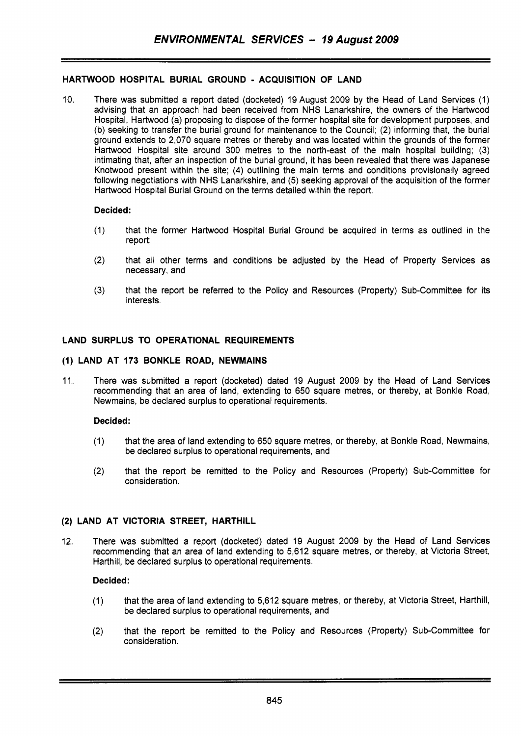## **HARTWOOD HOSPITAL BURIAL GROUND** - **ACQUISITION OF LAND**

10. There was submitted a report dated (docketed) 19 August 2009 by the Head of Land Services (1) advising that an approach had been received from NHS Lanarkshire, the owners of the Hartwood Hospital, Hartwood (a) proposing to dispose of the former hospital site for development purposes, and (b) seeking to transfer the burial ground for maintenance to the Council; (2) informing that, the burial ground extends to 2,070 square metres or thereby and was located within the grounds of the former Hartwood Hospital site around 300 metres to the north-east of the main hospital building; (3) intimating that, after an inspection of the burial ground, it has been revealed that there was Japanese Knotwood present within the site; **(4)** outlining the main terms and conditions provisionally agreed following negotiations with NHS Lanarkshire, and (5) seeking approval of the acquisition of the former Hartwood Hospital Burial Ground on the terms detailed within the report.

### **Decided:**

- (1) that the former Hartwood Hospital Burial Ground be acquired in terms as outlined in the report;
- (2) that all other terms and conditions be adjusted by the Head of Property Services as necessary, and
- **(3)** that the report be referred to the Policy and Resources (Property) Sub-Committee for its interests.

## **LAND SURPLUS TO OPERATIONAL REQUIREMENTS**

#### **(1) LAND AT 173 BONKLE ROAD, NEWMAINS**

11. There was submitted a report (docketed) dated 19 August 2009 by the Head of Land Services recommending that an area of land, extending to 650 square metres, or thereby, at Bonkle Road, Newmains, be declared surplus to operational requirements.

#### **Decided:**

- (1) that the area of land extending to 650 square metres, or thereby, at Bonkle Road, Newmains, be declared surplus to operational requirements, and
- (2) that the report be remitted to the Policy and Resources (Property) Sub-Committee for consideration.

## **(2) LAND AT VICTORIA STREET, HARTHILL**

12. There was submitted a report (docketed) dated 19 August 2009 by the Head of Land Services recommending that an area of land extending to 5,612 square metres, or thereby, at Victoria Street, Harthill, be declared surplus to operational requirements.

- (1) that the area of land extending to 5,612 square metres, or thereby, at Victoria Street, Harthill, be declared surplus to operational requirements, and
- (2) that the report be remitted to the Policy and Resources (Property) Sub-Committee for consideration.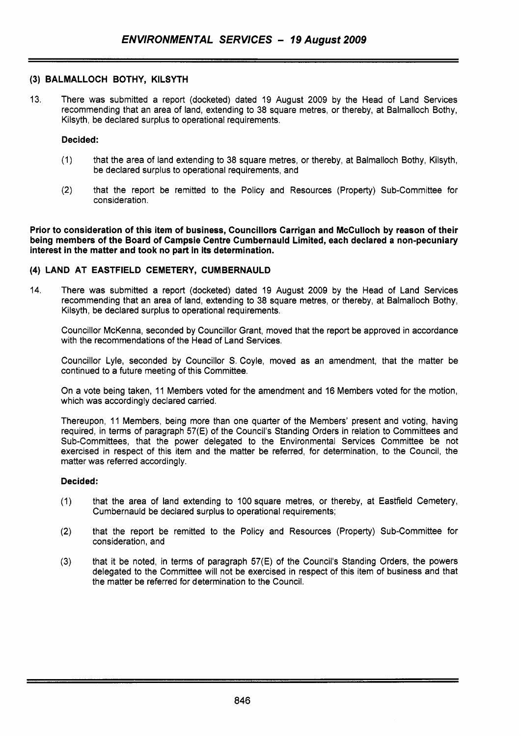### **(3) BALMALLOCH BOTHY, KILSYTH**

13. There was submitted a report (docketed) dated 19 August 2009 by the Head of Land Services recommending that an area of land, extending to 38 square metres, or thereby, at Balmalloch Bothy, Kilsyth, be declared surplus to operational requirements.

### **Decided:**

- (1) that the area of land extending to 38 square metres, or thereby, at Balmalloch Bothy, Kilsyth, be declared surplus to operational requirements, and
- **(2)** that the report be remitted to the Policy and Resources (Property) Sub-Committee for consideration.

**Prior to consideration of this item of business, Councillors Carrigan and McCulloch by reason of their being members of the Board of Campsie Centre Cumbernauld Limited, each declared a non-pecuniary interest in the matter and took no part in its determination.** 

### **(4) LAND AT EASTFIELD CEMETERY, CUMBERNAULD**

14. There was submitted a report (docketed) dated 19 August 2009 by the Head of Land Services recommending that an area of land, extending to 38 square metres, or thereby, at Balmalloch Bothy, Kilsyth, be declared surplus to operational requirements.

Councillor McKenna, seconded by Councillor Grant, moved that the report be approved in accordance with the recommendations of the Head of Land Services.

Councillor Lyle, seconded by Councillor S. Coyle, moved as an amendment, that the matter be continued to a future meeting of this Committee.

On a vote being taken, 11 Members voted for the amendment and 16 Members voted for the motion, which was accordingly declared carried.

Thereupon, 11 Members, being more than one quarter of the Members' present and voting, having required, in terms of paragraph 57(E) of the Council's Standing Orders in relation to Committees and Sub-Committees, that the power delegated to the Environmental Services Committee be not exercised in respect of this item and the matter be referred, for determination, to the Council, the matter was referred accordingly.

- (1) that the area of land extending to 100 square metres, or thereby, at Eastfield Cemetery, Cumbernauld be declared surplus to operational requirements;
- **(2)** that the report be remitted to the Policy and Resources (Property) Sub-Committee for consideration, and
- (3) that it be noted, in terms of paragraph 57(E) of the Council's Standing Orders, the powers delegated to the Committee will not be exercised in respect of this item of business and that the matter be referred for determination to the Council.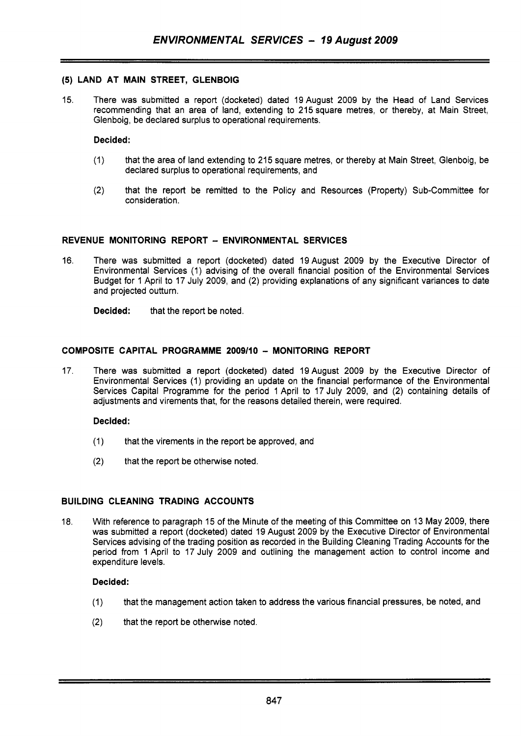## **(5) LAND AT MAIN STREET, GLENBOIG**

15. There was submitted a report (docketed) dated 19August 2009 by the Head of Land Services recommending that an area of land, extending to 215 square metres, or thereby, at Main Street, Glenboig, be declared surplus to operational requirements.

### **Decided:**

- (1) that the area of land extending to 215 square metres, or thereby at Main Street, Glenboig, be declared surplus to operational requirements, and
- (2) that the report be remitted to the Policy and Resources (Property) Sub-Committee for consideration.

### **REVENUE MONITORING REPORT** - **ENVIRONMENTAL SERVICES**

16. There was submitted a report (docketed) dated 19August 2009 by the Executive Director of Environmental Services (1) advising of the overall financial position of the Environmental Services Budget for 1 April to 17 July 2009, and (2) providing explanations of any significant variances to date and projected outturn.

**Decided:** that the report be noted.

## **COMPOSITE CAPITAL PROGRAMME 2009/10** - **MONITORING REPORT**

17. There was submitted a report (docketed) dated 19August 2009 by the Executive Director of Environmental Services (1) providing an update on the financial performance of the Environmental Services Capital Programme for the period 1 April to 17 July 2009, and (2) containing details of adjustments and virements that, for the reasons detailed therein, were required.

### **Decided:**

- (1) that the virements in the report be approved, and
- $(2)$  that the report be otherwise noted.

### **BUILDING CLEANING TRADING ACCOUNTS**

18. With reference to paragraph 15 of the Minute of the meeting of this Committee on 13 May 2009, there was submitted a report (docketed) dated 19 August 2009 by the Executive Director of Environmental Services advising of the trading position as recorded in the Building Cleaning Trading Accounts for the period from 1 April to 17 July 2009 and outlining the management action to control income and expenditure levels.

- (1) that the management action taken to address the various financial pressures, be noted, and
- **(2)** that the report be otherwise noted.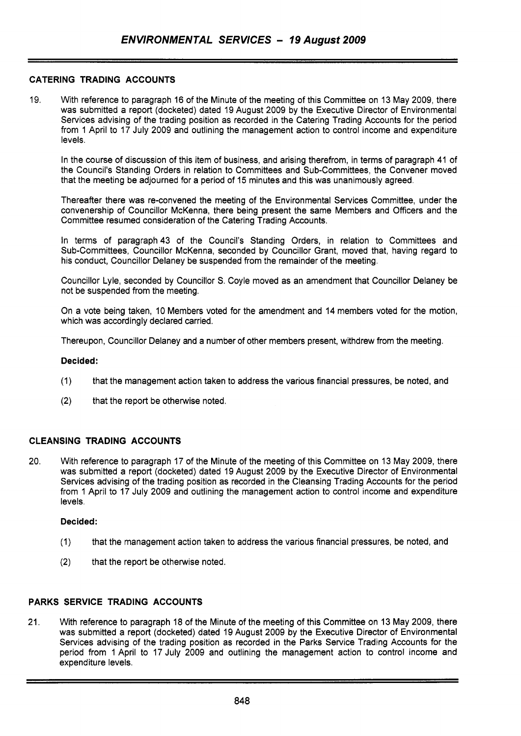## **CATERING TRADING ACCOUNTS**

19. With reference to paragraph 16 of the Minute of the meeting of this Committee on 13 May 2009, there was submitted a report (docketed) dated 19 August 2009 by the Executive Director of Environmental Services advising of the trading position as recorded in the Catering Trading Accounts for the period from 1 April to 17 July 2009 and outlining the management action to control income and expenditure levels.

In the course of discussion of this item of business, and arising therefrom, in terms of paragraph 41 of the Council's Standing Orders in relation to Committees and Sub-Committees, the Convener moved that the meeting be adjourned for a period of 15 minutes and this was unanimously agreed.

Thereafter there was re-convened the meeting of the Environmental Services Committee, under the convenership of Councillor McKenna, there being present the same Members and Officers and the Committee resumed consideration of the Catering Trading Accounts.

In terms of paragraph 43 of the Council's Standing Orders, in relation to Committees and Sub-Committees, Councillor McKenna, seconded by Councillor Grant, moved that, having regard to his conduct, Councillor Delaney be suspended from the remainder of the meeting.

Councillor Lyle, seconded by Councillor *S.* Coyle moved as an amendment that Councillor Delaney be not be suspended from the meeting.

On a vote being taken, 10 Members voted for the amendment and 14 members voted for the motion, which was accordingly declared carried.

Thereupon, Councillor Delaney and a number of other members present, withdrew from the meeting.

### **Decided:**

- (1) that the management action taken to address the various financial pressures, be noted, and
- (2) that the report be otherwise noted

### **CLEANSING TRADING ACCOUNTS**

20. With reference to paragraph 17 of the Minute of the meeting of this Committee on 13 May 2009, there was submitted a report (docketed) dated 19 August 2009 by the Executive Director of Environmental Services advising of the trading position as recorded in the Cleansing Trading Accounts for the period from 1 April to 17 July 2009 and outlining the management action to control income and expenditure levels.

### **Decided:**

- (1) that the management action taken to address the various financial pressures, be noted, and
- **(2)** that the report be otherwise noted.

## **PARKS SERVICE TRADING ACCOUNTS**

21. With reference to paragraph 18 of the Minute of the meeting of this Committee on 13 May 2009, there was submitted a report (docketed) dated 19 August 2009 by the Executive Director of Environmental Services advising of the trading position as recorded in the Parks Service Trading Accounts for the period from 1 April to 17 July 2009 and outlining the management action to control income and expenditure levels.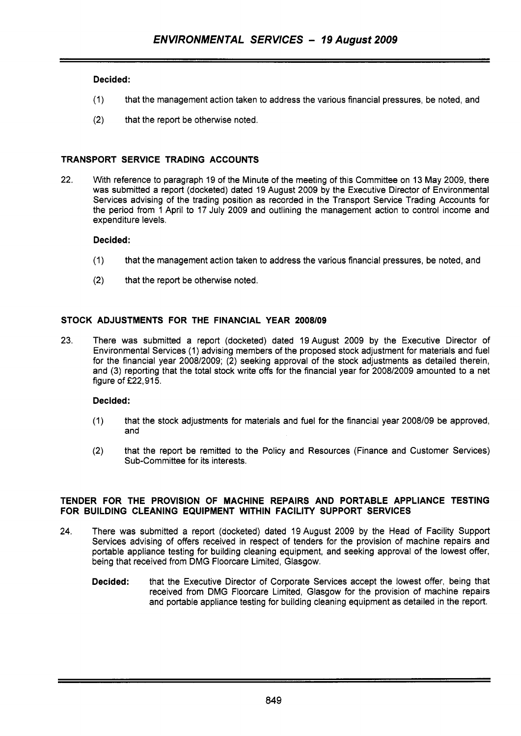## **Decided:**

- **(1)** that the management action taken to address the various financial pressures, be noted, and
- **(2)** that the report be otherwise noted.

## **TRANSPORT SERVICE TRADING ACCOUNTS**

**22.** With reference to paragraph **19** of the Minute of the meeting of this Committee on **13** May **2009,** there was submitted a report (docketed) dated **19** August **2009** by the Executive Director of Environmental Services advising of the trading position as recorded in the Transport Service Trading Accounts for the period from **1** April to **17** July **2009** and outlining the management action to control income and expenditure levels.

### **Decided** :

- **(1)** that the management action taken to address the various financial pressures, be noted, and
- **(2)** that the report be otherwise noted.

## **STOCK ADJUSTMENTS FOR THE FINANCIAL YEAR 2008109**

**23.** There was submitted a report (docketed) dated 19August **2009** by the Executive Director of Environmental Services **(1)** advising members of the proposed stock adjustment for materials and fuel for the financial year **2008/2009; (2)** seeking approval of the stock adjustments as detailed therein, and (3) reporting that the total stock write offs for the financial year for **2008/2009** amounted to a net figure of **f22,915.** 

## **Decided:**

- **(1)** that the stock adjustments for materials and fuel for the financial year **2008/09** be approved, and
- **(2)** that the report be remitted to the Policy and Resources (Finance and Customer Services) Sub-Committee for its interests.

### **TENDER FOR THE PROVISION OF MACHINE REPAIRS AND PORTABLE APPLIANCE TESTING FOR BUILDING CLEANING EQUIPMENT WITHIN FACILITY SUPPORT SERVICES**

- **24.** There was submitted a report (docketed) dated **19** August **2009** by the Head of Facility Support Services advising of offers received in respect of tenders for the provision of machine repairs and portable appliance testing for building cleaning equipment, and seeking approval of the lowest offer, being that received from DMG Floorcare Limited, Glasgow.
	- **Decided:** that the Executive Director of Corporate Services accept the lowest offer, being that received from DMG Floorcare Limited, Glasgow for the provision of machine repairs and portable appliance testing for building cleaning equipment as detailed in the report.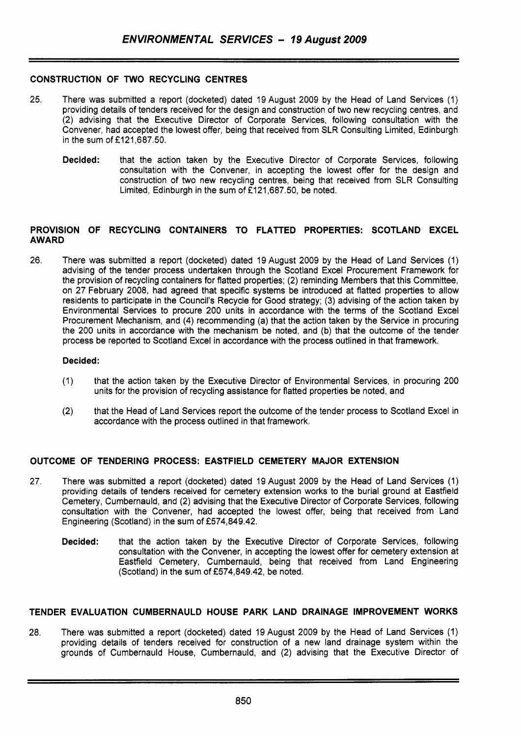## **CONSTRUCTION OF TWO RECYCLING CENTRES**

- 25. There was submitted a report (docketed) dated 19August 2009 by the Head of Land Services (1) providing details of tenders received for the design and construction of two new recycling centres, and (2) advising that the Executive Director of Corporate Services, following consultation with the Convener, had accepted the lowest offer, being that received from SLR Consulting Limited, Edinburgh in the sum of  $£121,687.50$ .
	- **Decided:** that the action taken by the Executive Director of Corporate Services, following consultation with the Convener, in accepting the lowest offer for the design and construction of two new recycling centres, being that received from SLR Consulting Limited, Edinburgh in the sum of  $£121,687.50$ , be noted.

### **PROVISION OF RECYCLING CONTAINERS TO FLATTED PROPERTIES: SCOTLAND EXCEL AWARD**

26. There was submitted a report (docketed) dated 19August 2009 by the Head of Land Services (1) advising of the tender process undertaken through the Scotland Excel Procurement Framework for the provision of recycling containers for flatted properties; (2) reminding Members that this Committee, on 27 February 2008, had agreed that specific systems be introduced at flatted properties to allow residents to participate in the Council's Recycle for Good strategy; (3) advising of the action taken by Environmental Services to procure 200 units in accordance with the terms of the Scotland Excel Procurement Mechanism, and (4) recommending (a) that the action taken by the Service in procuring the 200 units in accordance with the mechanism be noted, and (b) that the outcome of the tender process be reported to Scotland Excel in accordance with the process outlined in that framework.

### **Decided:**

- (1) that the action taken by the Executive Director of Environmental Services, in procuring 200 units for the provision of recycling assistance for flatted properties be noted, and
- (2) that the Head of Land Services report the outcome of the tender process to Scotland Excel in accordance with the process outlined in that framework.

### **OUTCOME OF TENDERING PROCESS: EASTFIELD CEMETERY MAJOR EXTENSION**

- 27. There was submitted a report (docketed) dated 19 August 2009 by the Head of Land Services (1) providing details of tenders received for cemetery extension works to the burial ground at Eastfield Cemetery, Cumbernauld, and (2) advising that the Executive Director of Corporate Services, following consultation with the Convener, had accepted the lowest offer, being that received from Land Engineering (Scotland) in the sum of £574,849.42.
	- **Decided:** that the action taken by the Executive Director of Corporate Services, following consultation with the Convener, in accepting the lowest offer for cemetery extension at Eastfield Cemetery, Cumbernauld, being that received from Land Engineering  $(Scoland)$  in the sum of £574,849,42, be noted.

### **TENDER EVALUATION CUMBERNAULD HOUSE PARK LAND DRAINAGE IMPROVEMENT WORKS**

28. There was submitted a report (docketed) dated 19 August 2009 by the Head of Land Services (1) providing details of tenders received for construction of a new land drainage system within the grounds of Cumbernauld House, Cumbernauld, and (2) advising that the Executive Director of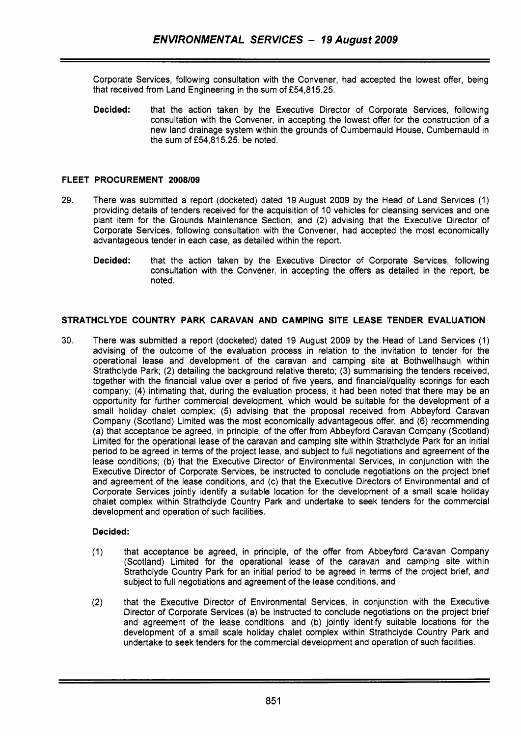Corporate Services, following consultation with the Convener, had accepted the lowest offer, being that received from Land Engineering in the sum of £54,815.25.

**Decided:** that the action taken by the Executive Director of Corporate Services, following consultation with the Convener, in accepting the lowest offer for the construction of a new land drainage system within the grounds of Cumbernauld House, Cumbernauld in the sum of **f54,815.25,** be noted.

## **FLEET PROCUREMENT 2008/09**

- **29.** There was submitted a report (docketed) dated **19** August **2009** by the Head of Land Services **(1)**  providing details of tenders received for the acquisition of **10** vehicles for cleansing services and one plant item for the Grounds Maintenance Section, and **(2)** advising that the Executive Director of Corporate Services, following consultation with the Convener, had accepted the most economically advantageous tender in each case, as detailed within the report.
	- **Decided:** that the action taken by the Executive Director of Corporate Services, following consultation with the Convener, in accepting the offers as detailed in the report, be noted.

## **STRATHCLYDE COUNTRY PARK CARAVAN AND CAMPING SITE LEASE TENDER EVALUATION**

**30.** There was submitted a report (docketed) dated **19** August **2009** by the Head of Land Services (1) advising of the outcome of the evaluation process in relation to the invitation to tender for the operational lease and development of the caravan and camping site at Bothwellhaugh within Strathclyde Park; **(2)** detailing the background relative thereto; (3) summarising the tenders received, together with the financial value over a period of five years, and financial/quality scorings for each company; **(4)** intimating that, during the evaluation process, it had been noted that there may be an opportunity for further commercial development, which would be suitable for the development of a small holiday chalet complex; (5) advising that the proposal received from Abbeyford Caravan Company (Scotland) Limited was the most economically advantageous offer, and (6) recommending (a) that acceptance be agreed, in principle, of the offer from Abbeyford Caravan Company (Scotland) Limited for the operational lease of the caravan and camping site within Strathclyde Park for an initial period to be agreed in terms of the project lease, and subject to full negotiations and agreement of the lease conditions; (b) that the Executive Director of Environmental Services, in conjunction with the Executive Director of Corporate Services, be instructed to conclude negotiations on the project brief and agreement of the lease conditions, and (c) that the Executive Directors of Environmental and of Corporate Services jointly identify a suitable location for the development of a small scale holiday chalet complex within Strathclyde Country Park and undertake to seek tenders for the commercial development and operation of such facilities.

- **(1)** that acceptance be agreed, in principle, of the offer from Abbeyford Caravan Company (Scotland) Limited for the operational lease of the caravan and camping site within Strathclyde Country Park for an initial period to be agreed in terms of the project brief, and subject to full negotiations and agreement of the lease conditions, and
- **(2)** that the Executive Director of Environmental Services, in conjunction with the Executive Director of Corporate Services (a) be instructed to conclude negotiations on the project brief and agreement of the lease conditions, and (b) jointly identify suitable locations for the development of a small scale holiday chalet complex within Strathclyde Country Park and undertake to seek tenders for the commercial development and operation of such facilities.